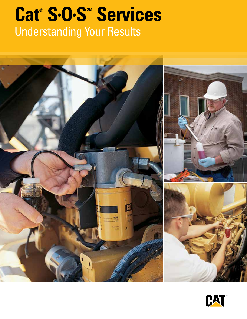# Cat® S·O·S<sup>®</sup> Services Understanding Your Results



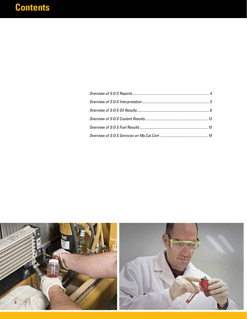# **Contents**

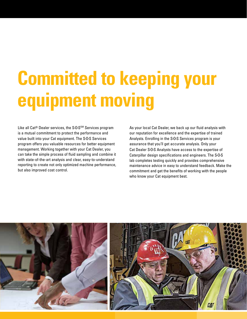# **Committed to keeping your equipment moving**

Like all Cat® Dealer services, the S-O-S<sup>SM</sup> Services program is a mutual commitment to protect the performance and value built into your Cat equipment. The S•O•S Services program offers you valuable resources for better equipment management. Working together with your Cat Dealer, you can take the simple process of fluid sampling and combine it with state-of-the-art analysis and clear, easy-to-understand reporting to create not only optimized machine performance, but also improved cost control.

As your local Cat Dealer, we back up our fluid analysis with our reputation for excellence and the expertise of trained Analysts. Enrolling in the S•O•S Services program is your assurance that you'll get accurate analysis. Only your Cat Dealer S•O•S Analysts have access to the expertise of Caterpillar design specifications and engineers. The S•O•S lab completes testing quickly and provides comprehensive maintenance advice in easy to understand feedback. Make the commitment and get the benefits of working with the people who know your Cat equipment best.

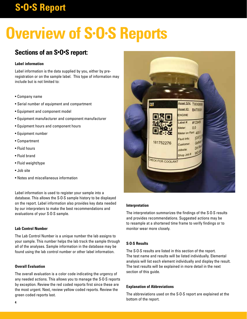# **S•O•S Report**

# **Overview of S•O•S Reports**

### **Sections of an S•O•S report:**

#### **Label information**

Label information is the data supplied by you, either by preregistration or on the sample label. This type of information may include but is not limited to:

- Company name
- Serial number of equipment and compartment
- Equipment and component model
- Equipment manufacturer and component manufacturer
- Equipment hours and component hours
- Equipment number
- Compartment
- Fluid hours
- Fluid brand
- Fluid weight/type
- Job site
- Notes and miscellaneous information

Label information is used to register your sample into a database. This allows the S·O·S sample history to be displayed on the report. Label information also provides key data needed by our interpreters to make the best recommendations and evaluations of your S·O·S sample.

#### **Lab Control Number**

The Lab Control Number is a unique number the lab assigns to your sample. This number helps the lab track the sample through all of the analyses. Sample information in the database may be found using the lab control number or other label information.

#### **Overall Evaluation**

The overall evaluation is a color code indicating the urgency of any needed actions. This allows you to manage the S·O·S reports by exception. Review the red coded reports first since these are the most urgent. Next, review yellow coded reports. Review the green coded reports last.



#### **Interpretation**

The interpretation summarizes the findings of the S·O·S results and provides recommendations. Suggested actions may be to resample at a shortened time frame to verify findings or to monitor wear more closely.

#### **S·O·S Results**

The S·O·S results are listed in this section of the report. The test name and results will be listed individually. Elemental analysis will list each element individually and display the result. The test results will be explained in more detail in the next section of this guide.

#### **Explanation of Abbreviations**

The abbreviations used on the S·O·S report are explained at the bottom of the report.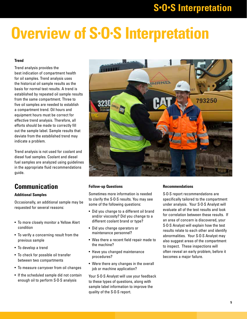# **S•O•S Interpretation**

# **Overview of S•O•S Interpretation**

#### **Trend**

Trend analysis provides the best indication of compartment health for oil samples. Trend analysis uses the historical oil sample results as the basis for normal test results. A trend is established by repeated oil sample results from the same compartment. Three to five oil samples are needed to establish a compartment trend. Oil hours and equipment hours must be correct for effective trend analysis. Therefore, all efforts should be made to correctly fill out the sample label. Sample results that deviate from the established trend may indicate a problem.

Trend analysis is not used for coolant and diesel fuel samples. Coolant and diesel fuel samples are analyzed using guidelines in the appropriate fluid recommendations guide.

### **Communication**

#### **Additional Samples**

Occasionally, an additional sample may be requested for several reasons:

- To more closely monitor a Yellow Alert condition
- To verify a concerning result from the previous sample
- To develop a trend
- To check for possible oil transfer between two compartments
- To measure carryover from oil changes
- If the scheduled sample did not contain enough oil to perform S·O·S analysis



#### **Follow-up Questions**

Sometimes more information is needed to clarify the S·O·S results. You may see some of the following questions:

- Did you change to a different oil brand and/or viscosity? Did you change to a different coolant brand or type?
- Did you change operators or maintenance personnel?
- Was there a recent field repair made to the machine?
- Have you changed maintenance procedures?
- Were there any changes in the overall job or machine application?

Your S·O·S Analyst will use your feedback to these types of questions, along with sample label information to improve the quality of the S·O·S report.

#### **Recommendations**

S·O·S report recommendations are specifically tailored to the compartment under analysis. Your S·O·S Analyst will evaluate all of the test results and look for correlation between these results. If an area of concern is discovered, your S·O·S Analyst will explain how the test results relate to each other and identify abnormalities. Your S·O·S Analyst may also suggest areas of the compartment to inspect. These inspections will often reveal an early problem, before it becomes a major failure.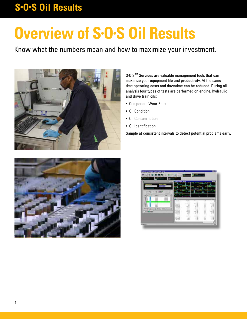# **Overview of S•O•S Oil Results**

### Know what the numbers mean and how to maximize your investment.



S.O.S<sup>SM</sup> Services are valuable management tools that can maximize your equipment life and productivity. At the same time operating costs and downtime can be reduced. During oil analysis four types of tests are performed on engine, hydraulic and drive train oils:

- Component Wear Rate
- Oil Condition
- Oil Contamination
- Oil Identification

Sample at consistent intervals to detect potential problems early.



|                                                                                      | of Frederic State Of                               |                               |                                   |                             |                                                      |
|--------------------------------------------------------------------------------------|----------------------------------------------------|-------------------------------|-----------------------------------|-----------------------------|------------------------------------------------------|
| n e del a                                                                            |                                                    |                               |                                   |                             |                                                      |
|                                                                                      |                                                    |                               |                                   |                             |                                                      |
| æ                                                                                    |                                                    |                               |                                   |                             |                                                      |
| 1449.9<br>-<br>œ<br>÷<br>14.4<br><b>DOM NO</b><br>×                                  |                                                    |                               |                                   |                             |                                                      |
| ä<br><b>MATE</b><br><b>Judited</b><br>u<br>$-1$<br><b>SIGHT</b><br>٠<br><b>NAMES</b> | 3133                                               | 4444.1                        | $-11$                             | $\sim$                      |                                                      |
| <b>MAX 22</b><br>٠<br>÷<br>m                                                         | an interesting<br>Tel: NASARAS                     | size.c<br>13.44414<br>$-4.8$  | $-9.806$<br><b>1014 (tars</b>     | $\sim$<br>٠<br>4.4          | 15 days<br><b>COLLANS</b>                            |
|                                                                                      | 4 44 444<br>To Mid-Tod<br>by 104, 208              | $+1.3$<br>summer four         | $-4 - 66$<br>. Winter<br>IT are   | $4 - 4$<br>4.4<br>s.<br>4.4 | $+$ and<br><b>Distance</b><br>$-101$ (mm)            |
|                                                                                      | By 170, 4414<br>By 10 L. Dat                       | $164.4 +$<br><b>NELL</b>      | $-14$ am<br><b>Life and</b>       | K.<br>6.2                   | $-1400$<br>Life said.                                |
|                                                                                      | Be III.ho                                          | 1413.3                        | 3,800                             | 3.3<br>×<br>s.c.            | $-7.244$<br>Life and                                 |
|                                                                                      | <b>B</b> Stevens                                   |                               |                                   |                             |                                                      |
| <b>SHOP ES HARA</b>                                                                  | <b>Bet July, Jose</b>                              | <b>JimLA</b><br>144.6         | 3127 MW<br>to any                 | 6.0                         | 11,000                                               |
|                                                                                      | 4 144.241<br>49-14039-1-120-2                      | Ident, Jr.<br>$-0.4$<br>٠     | 53,408<br>15,444                  | s.c.<br>54                  | ALL AGE<br><b>11 month</b>                           |
|                                                                                      | <b>ALCOHOL:</b><br>to tell the<br><b>Ri Incass</b> | America:<br>$+0.0$<br>$-44.3$ | <b>STOR AND</b><br>1.806<br>1.406 | $\sim$<br>$\sim$<br>5.0     | <b><i><u>STOR GAN</u></i></b><br>11 month<br>13 June |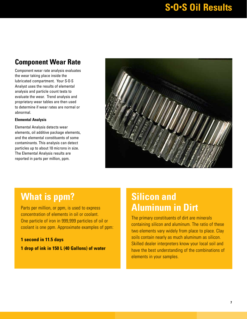### **Component Wear Rate**

Component wear rate analysis evaluates the wear taking place inside the lubricated compartment. Your S·O·S Analyst uses the results of elemental analysis and particle count tests to evaluate the wear. Trend analysis and proprietary wear tables are then used to determine if wear rates are normal or abnormal.

#### **Elemental Analysis**

Elemental Analysis detects wear elements, oil additive package elements, and the elemental constituents of some contaminants. This analysis can detect particles up to about 10 microns in size. The Elemental Analysis results are reported in parts per million, ppm.



### **What is ppm?**

Parts per million, or ppm, is used to express concentration of elements in oil or coolant. One particle of iron in 999,999 particles of oil or coolant is one ppm. Approximate examples of ppm:

**1 second in 11.5 days 1 drop of ink in 150 L (40 Gallons) of water**

### **Silicon and Aluminum in Dirt**

The primary constituents of dirt are minerals containing silicon and aluminum. The ratio of these two elements vary widely from place to place. Clay soils contain nearly as much aluminum as silicon. Skilled dealer interpreters know your local soil and have the best understanding of the combinations of elements in your samples.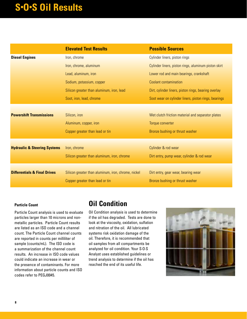|                                         | <b>Elevated Test Results</b>                        | <b>Possible Sources</b>                              |
|-----------------------------------------|-----------------------------------------------------|------------------------------------------------------|
| <b>Diesel Engines</b>                   | Iron, chrome                                        | Cylinder liners, piston rings                        |
|                                         | Iron, chrome, aluminum                              | Cylinder liners, piston rings, aluminum piston skirt |
|                                         | Lead, aluminum, iron                                | Lower rod and main bearings, crankshaft              |
|                                         | Sodium, potassium, copper                           | <b>Coolant contamination</b>                         |
|                                         | Silicon greater than aluminum, iron, lead           | Dirt, cylinder liners, piston rings, bearing overlay |
|                                         | Soot, iron, lead, chrome                            | Soot wear on cylinder liners, piston rings, bearings |
|                                         |                                                     |                                                      |
| <b>Powershift Transmissions</b>         | Silicon, iron                                       | Wet clutch friction material and separator plates    |
|                                         | Aluminum, copper, iron                              | Torque converter                                     |
|                                         | Copper greater than lead or tin                     | Bronze bushing or thrust washer                      |
|                                         |                                                     |                                                      |
| <b>Hydraulic &amp; Steering Systems</b> | Iron, chrome                                        | Cylinder & rod wear                                  |
|                                         | Silicon greater than aluminum, iron, chrome         | Dirt entry, pump wear, cylinder & rod wear           |
| <b>Differentials &amp; Final Drives</b> | Silicon greater than aluminum, iron, chrome, nickel | Dirt entry, gear wear, bearing wear                  |
|                                         | Copper greater than lead or tin                     | Bronze bushing or thrust washer                      |
|                                         |                                                     |                                                      |

#### **Particle Count**

Particle Count analysis is used to evaluate particles larger than 10 microns and nonmetallic particles. Particle Count results are listed as an ISO code and a channel count. The Particle Count channel counts are reported in counts per milliliter of sample (counts/mL). The ISO code is a summarization of the channel count results. An increase in ISO code values could indicate an increase in wear or the presence of contaminants. For more information about particle counts and ISO codes refer to PEGJ0045.

### **Oil Condition**

Oil Condition analysis is used to determine if the oil has degraded. Tests are done to look at the viscosity, oxidation, sulfation and nitration of the oil. All lubricated systems risk oxidation damage of the oil. Therefore, it is recommended that oil samples from all compartments be analyzed for oil condition. Your S·O·S Analyst uses established guidelines or trend analysis to determine if the oil has reached the end of its useful life.

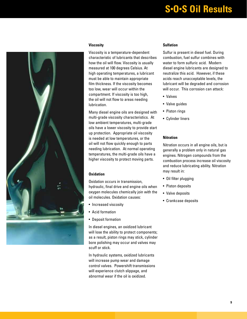

#### **Viscosity**

Viscosity is a temperature-dependent characteristic of lubricants that describes how the oil will flow. Viscosity is usually measured at 100 degrees Celsius. At high operating temperatures, a lubricant must be able to maintain appropriate film thickness. If the viscosity becomes too low, wear will occur within the compartment. If viscosity is too high, the oil will not flow to areas needing lubrication.

Many diesel engine oils are designed with multi-grade viscosity characteristics. At low ambient temperatures, multi-grade oils have a lower viscosity to provide start up protection. Appropriate oil viscosity is needed at low temperatures, or the oil will not flow quickly enough to parts needing lubrication. At normal operating temperatures, the multi-grade oils have a higher viscosity to protect moving parts.

#### **Oxidation**

Oxidation occurs in transmission, hydraulic, final drive and engine oils when oxygen molecules chemically join with the oil molecules. Oxidation causes:

- Increased viscosity
- Acid formation
- Deposit formation

In diesel engines, an oxidized lubricant will lose the ability to protect components; as a result, piston rings may stick, cylinder bore polishing may occur and valves may scuff or stick.

In hydraulic systems, oxidized lubricants will increase pump wear and damage control valves. Powershift transmissions will experience clutch slippage, and abnormal wear if the oil is oxidized.

#### **Sulfation**

Sulfur is present in diesel fuel. During combustion, fuel sulfur combines with water to form sulfuric acid. Modern diesel engine lubricants are designed to neutralize this acid. However, if these acids reach unacceptable levels, the lubricant will be degraded and corrosion will occur. This corrosion can attack:

- Valves
- Valve guides
- Piston rings
- Cylinder liners

#### **Nitration**

Nitration occurs in all engine oils, but is generally a problem only in natural gas engines. Nitrogen compounds from the combustion process increase oil viscosity and reduce lubricating ability. Nitration may result in:

- Oil filter plugging
- Piston deposits
- Valve deposits
- Crankcase deposits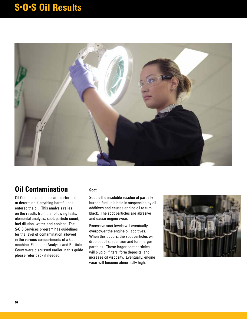

### **Oil Contamination**

Oil Contamination tests are performed to determine if anything harmful has entered the oil. This analysis relies on the results from the following tests: elemental analysis, soot, particle count, fuel dilution, water, and coolant. The S·O·S Services program has guidelines for the level of contamination allowed in the various compartments of a Cat machine. Elemental Analysis and Particle Count were discussed earlier in this guide please refer back if needed.

#### **Soot**

Soot is the insoluble residue of partially burned fuel. It is held in suspension by oil additives and causes engine oil to turn black. The soot particles are abrasive and cause engine wear.

Excessive soot levels will eventually overpower the engine oil additives. When this occurs, the soot particles will drop out of suspension and form larger particles. These larger soot particles will plug oil filters, form deposits, and increase oil viscosity. Eventually, engine wear will become abnormally high.

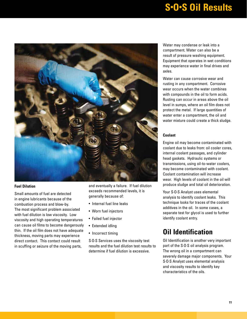

#### **Fuel Dilution**

Small amounts of fuel are detected in engine lubricants because of the combustion process and blow-by. The most significant problem associated with fuel dilution is low viscosity. Low viscosity and high operating temperatures can cause oil films to become dangerously thin. If the oil film does not have adequate thickness, moving parts may experience direct contact. This contact could result in scuffing or seizure of the moving parts,

and eventually a failure. If fuel dilution exceeds recommended levels, it is generally because of:

- Internal fuel line leaks
- Worn fuel injectors
- Failed fuel injector
- Extended idling
- Incorrect timing

S·O·S Services uses the viscosity test results and the fuel dilution test results to determine if fuel dilution is excessive.

Water may condense or leak into a compartment. Water can also be a result of pressure washing equipment. Equipment that operates in wet conditions may experience water in final drives and axles.

Water can cause corrosive wear and rusting in any compartment. Corrosive wear occurs when the water combines with compounds in the oil to form acids. Rusting can occur in areas above the oil level in sumps, where an oil film does not protect the metal. If large quantities of water enter a compartment, the oil and water mixture could create a thick sludge.

#### **Coolant**

Engine oil may become contaminated with coolant due to leaks from: oil cooler cores, internal coolant passages, and cylinder head gaskets. Hydraulic systems or transmissions, using oil-to-water coolers, may become contaminated with coolant. Coolant contamination will increase wear. High levels of coolant in the oil will produce sludge and total oil deterioration.

Your S·O·S Analyst uses elemental analysis to identify coolant leaks. This technique looks for traces of the coolant additives in the oil. In some cases, a separate test for glycol is used to further identify coolant entry.

### **Oil Identification**

Oil Identification is another very important part of the S·O·S oil analysis program. The wrong oil in a compartment can severely damage major components. Your S·O·S Analyst uses elemental analysis and viscosity results to identify key characteristics of the oils.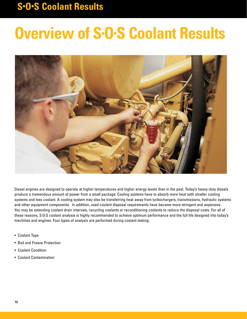## **S•O•S Coolant Results**

# **Overview of S•O•S Coolant Results**



Diesel engines are designed to operate at higher temperatures and higher energy levels than in the past. Today's heavy-duty diesels produce a tremendous amount of power from a small package. Cooling systems have to absorb more heat with smaller cooling systems and less coolant. A cooling system may also be transferring heat away from turbochargers, transmissions, hydraulic systems and other equipment components. In addition, used coolant disposal requirements have become more stringent and expensive. You may be extending coolant drain intervals, recycling coolants or reconditioning coolants to reduce the disposal costs. For all of these reasons, S·O·S coolant analysis is highly recommended to achieve optimum performance and the full life designed into today's machines and engines. Four types of analysis are performed during coolant testing:

- Coolant Type
- Boil and Freeze Protection
- Coolant Condition
- Coolant Contamination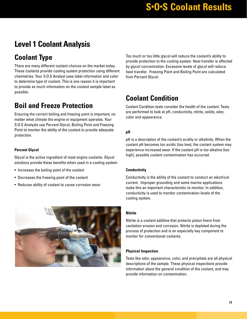### **Level 1 Coolant Analysis**

### **Coolant Type**

There are many different coolant choices on the market today. These coolants provide cooling system protection using different chemistries. Your S·O·S Analyst uses label information and color to determine type of coolant. This is one reason it is important to provide as much information on the coolant sample label as possible.

### **Boil and Freeze Protection**

Ensuring the correct boiling and freezing point is important, no matter what climate the engine or equipment operates. Your S·O·S Analysts use Percent Glycol, Boiling Point and Freezing Point to monitor the ability of the coolant to provide adequate protection.

#### **Percent Glycol**

Glycol is the active ingredient of most engine coolants. Glycol solutions provide these benefits when used in a cooling system:

- Increases the boiling point of the coolant
- Decreases the freezing point of the coolant
- Reduces ability of coolant to cause corrosion wear



Too much or too little glycol will reduce the coolant's ability to provide protection to the cooling system. Heat transfer is affected by glycol concentration. Excessive levels of glycol will reduce heat transfer. Freezing Point and Boiling Point are calculated from Percent Glycol.

### **Coolant Condition**

Coolant Condition tests consider the health of the coolant. Tests are performed to look at pH, conductivity, nitrite, solids, odor, color and appearance.

#### **pH**

pH is a description of the coolant's acidity or alkalinity. When the coolant pH becomes too acidic (too low), the coolant system may experience increased wear. If the coolant pH is too alkaline (too high), possible coolant contamination has occurred.

#### **Conductivity**

Conductivity is the ability of the coolant to conduct an electrical current. Improper grounding and some marine applications make this an important characteristic to monitor. In addition, conductivity is used to monitor contamination levels of the cooling system.

#### **Nitrite**

Nitrite is a coolant additive that protects piston liners from cavitation erosion and corrosion. Nitrite is depleted during the process of protection and is an especially key component to monitor for conventional coolants.

#### **Physical Inspection**

Tests like odor, appearance, color, and precipitate are all physical descriptions of the sample. These physical inspections provide information about the general condition of the coolant, and may provide information on contamination.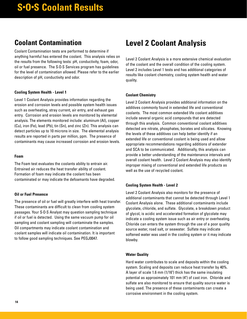### **Coolant Contamination**

Coolant Contamination tests are performed to determine if anything harmful has entered the coolant. This analysis relies on the results from the following tests: pH, conductivity, foam, odor, oil or fuel presence. The S·O·S Services program has guidelines for the level of contamination allowed. Please refer to the earlier description of pH, conductivity and odor.

#### **Cooling System Health - Level 1**

Level 1 Coolant Analysis provides information regarding the erosion and corrosion levels and possible system health issues such as overheating, stray current, air entry, and exhaust gas entry. Corrosion and erosion levels are monitored by elemental analysis. The elements monitored include: aluminum (AI), copper (Cu), iron (Fe), lead (Pb), tin (Sn), and zinc (Zn). This analysis can detect particles up to 10 microns in size. The elemental analysis results are reported in parts per million, ppm. The presence of contaminants may cause increased corrosion and erosion levels.

#### **Foam**

The Foam test evaluates the coolants ability to entrain air. Entrained air reduces the heat transfer ability of coolant. Formation of foam may indicate the coolant has been contaminated or may indicate the defoamants have degraded.

#### **Oil or Fuel Presence**

The presence of oil or fuel will greatly interfere with heat transfer. These contaminants are difficult to clean from cooling system passages. Your S·O·S Analyst may question sampling technique if oil or fuel is detected. Using the same vacuum pump for oil sampling and coolant sampling will contaminate the samples. Oil compartments may indicate coolant contamination and coolant samples will indicate oil contamination. It is important to follow good sampling techniques. See PEGJ0047.

### **Level 2 Coolant Analysis**

Level 2 Coolant Analysis is a more extensive chemical evaluation of the coolant and the overall condition of the cooling system. Level 2 includes Level 1 tests and has additional categories of results like coolant chemistry, cooling system health and water quality.

#### **Coolant Chemistry**

Level 2 Coolant Analysis provides additional information on the additives commonly found in extended life and conventional coolants. The most common extended life coolant additives include several organic acid compounds that are detected through this analysis. Common conventional coolant additives detected are nitrate, phosphates, borates and silicates. Knowing the levels of these additives can help better identify if an extended life or conventional coolant is being used and allow appropriate recommendations regarding additions of extender and SCA to be communicated. Additionally, this analysis can provide a better understanding of the maintenance intervals and overall coolant health. Level 2 Coolant Analysis may also identify improper mixing of conventional and extended life products as well as the use of recycled coolant.

#### **Cooling System Health - Level 2**

Level 2 Coolant Analysis also monitors for the presence of additional contaminants that cannot be detected through Level 1 Coolant Analysis alone. These additional contaminants include glycolate, chloride, and sulfate. Glycolate, a breakdown product of glycol, is acidic and accelerated formation of glycolate may indicate a cooling system issue such as air entry or overheating. Chloride can enters the system through the use of a poor quality source water, road salt, or seawater. Sulfate may indicate softened water was used in the cooling system or it may indicate blowby.

#### **Water Quality**

Hard water contributes to scale and deposits within the cooling system. Scaling and deposits can reduce heat transfer by 40%. A layer of scale 1.6 mm (1/16") thick has the same insulating potential as approximately 101 mm (4") of cast iron. Chloride and sulfate are also monitored to ensure that quality source water is being used. The presence of these contaminants can create a corrosive environment in the cooling system.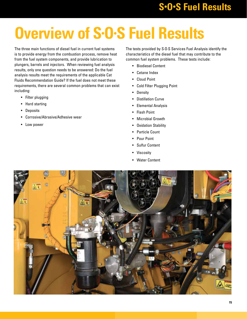# **Overview of S•O•S Fuel Results**

The three main functions of diesel fuel in current fuel systems is to provide energy from the combustion process, remove heat from the fuel system components, and provide lubrication to plungers, barrels and injectors. When reviewing fuel analysis results, only one question needs to be answered: Do the fuel analysis results meet the requirements of the applicable Cat Fluids Recommendation Guide? If the fuel does not meet these requirements, there are several common problems that can exist including:

- Filter plugging
- Hard starting
- Deposits
- Corrosive/Abrasive/Adhesive wear
- Low power

The tests provided by S·O·S Services Fuel Analysis identify the characteristics of the diesel fuel that may contribute to the common fuel system problems. These tests include:

- Biodiesel Content
- Cetane Index
- Cloud Point
- Cold Filter Plugging Point
- Density
- Distillation Curve
- Elemental Analysis
- Flash Point
- Microbial Growth
- Oxidation Stability
- Particle Count
- Pour Point
- Sulfur Content
- Viscosity
- Water Content

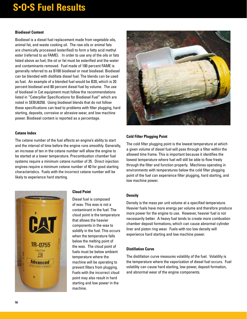#### **Biodiesel Content**

Biodiesel is a diesel fuel replacement made from vegetable oils, animal fat, and waste cooking oil. The raw oils or animal fats are chemically processed (esterified) to form a fatty acid methyl ester (referred to as FAME). In order to use any of the oils or fats listed above as fuel, the oil or fat must be esterified and the water and contaminants removed. Fuel made of 100 percent FAME is generally referred to as B100 biodiesel or neat biodiesel. Biodiesel can be blended with distillate diesel fuel. The blends can be used as fuel. An example of a blended fuel would be B20, which is 20 percent biodiesel and 80 percent diesel fuel by volume. The use of biodiesel in Cat equipment must follow the recommendations listed in "Caterpillar Specifications for Biodiesel Fuel" which are noted in SEBU6250. Using biodiesel blends that do not follow these specifications can lead to problems with filter plugging, hard starting, deposits, corrosive or abrasive wear, and low machine power. Biodiesel content is reported as a percentage.

#### **Cetane Index**

The cetane number of the fuel affects an engine's ability to start and the interval of time before the engine runs smoothly. Generally, an increase of ten in the cetane number will allow the engine to be started at a lower temperature. Precombustion chamber fuel systems require a minimum cetane number of 35. Direct injection engines require a minimum cetane number of 40 for good starting characteristics. Fuels with the incorrect cetane number will be likely to experience hard starting.



#### **Cloud Point**

Diesel fuel is composed of wax. This wax is not a contaminant in the fuel. The cloud point is the temperature that allows the heavier components in the wax to solidify in the fuel. This occurs when the temperature falls below the melting point of the wax. The cloud point of fuels must be below ambient temperature where the machine will be operating to prevent filters from plugging. Fuels with the incorrect cloud point may also result in hard starting and low power in the machine.



#### **Cold Filter Plugging Point**

The cold filter plugging point is the lowest temperature at which a given volume of diesel fuel will pass through a filter within the allowed time frame. This is important because it identifies the lowest temperature where fuel will still be able to flow freely through the filter and function properly. Machines operating in environments with temperatures below the cold filter plugging point of the fuel can experience filter plugging, hard starting, and low machine power.

#### **Density**

Density is the mass per unit volume at a specified temperature. Heavier fuels have more energy per volume and therefore produce more power for the engine to use. However, heavier fuel is not necessarily better. A heavy fuel tends to create more combustion chamber deposit formations, which can cause abnormal cylinder liner and piston ring wear. Fuels with too low density will experience hard starting and low machine power.

#### **Distillation Curve**

The distillation curve measures volatility of the fuel. Volatility is the temperature where the vaporization of diesel fuel occurs. Fuel volatility can cause hard starting, low power, deposit formation, and abnormal wear of the engine components.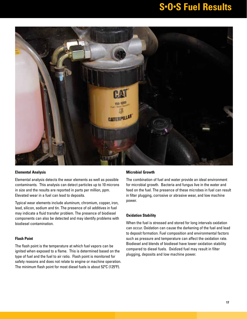

#### **Elemental Analysis**

Elemental analysis detects the wear elements as well as possible contaminants. This analysis can detect particles up to 10 microns in size and the results are reported in parts per million, ppm. Elevated wear in a fuel can lead to deposits.

Typical wear elements include aluminum, chromium, copper, iron, lead, silicon, sodium and tin. The presence of oil additives in fuel may indicate a fluid transfer problem. The presence of biodiesel components can also be detected and may identify problems with biodiesel contamination.

#### **Flash Point**

The flash point is the temperature at which fuel vapors can be ignited when exposed to a flame. This is determined based on the type of fuel and the fuel to air ratio. Flash point is monitored for safety reasons and does not relate to engine or machine operation. The minimum flash point for most diesel fuels is about 52ºC (125ºF).

#### **Microbial Growth**

The combination of fuel and water provide an ideal environment for microbial growth. Bacteria and fungus live in the water and feed on the fuel. The presence of these microbes in fuel can result in filter plugging, corrosive or abrasive wear, and low machine power.

#### **Oxidation Stability**

When the fuel is stressed and stored for long intervals oxidation can occur. Oxidation can cause the darkening of the fuel and lead to deposit formation. Fuel composition and environmental factors such as pressure and temperature can affect the oxidation rate. Biodiesel and blends of biodiesel have lower oxidation stability compared to diesel fuels. Oxidized fuel may result in filter plugging, deposits and low machine power.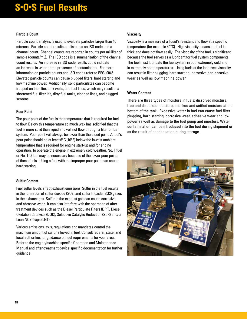#### **Particle Count**

Particle count analysis is used to evaluate particles larger than 10 microns. Particle count results are listed as an ISO code and a channel count. Channel counts are reported in counts per milliliter of sample (counts/mL). The ISO code is a summarization of the channel count results. An increase in ISO code results could indicate an increase in wear or the presence of contaminants. For more information on particle counts and ISO codes refer to PEGJ0045. Elevated particle counts can cause plugged filters, hard starting and low machine power. Additionally, solid particulates can become trapped on the filter, tank walls, and fuel lines, which may result in a shortened fuel filter life, dirty fuel tanks, clogged lines, and plugged screens.

#### **Pour Point**

The pour point of the fuel is the temperature that is required for fuel to flow. Below this temperature so much wax has solidified that the fuel is more solid than liquid and will not flow through a filter or fuel system. Pour point will always be lower than the cloud point. A fuel's pour point should be at least 6°C (10°F) below the lowest ambient temperature that is required for engine start-up and for engine operation. To operate the engine in extremely cold weather, No. 1 fuel or No. 1-D fuel may be necessary because of the lower pour points of these fuels. Using a fuel with the improper pour point can cause hard starting.

#### **Sulfur Content**

Fuel sulfur levels affect exhaust emissions. Sulfur in the fuel results in the formation of sulfur dioxide (SO2) and sulfur trioxide (SO3) gases in the exhaust gas. Sulfur in the exhaust gas can cause corrosive and abrasive wear. It can also interfere with the operation of aftertreatment devices such as the Diesel Particulate Filters (DPF), Diesel Oxidation Catalysts (DOC), Selective Catalytic Reduction (SCR) and/or Lean NOx Traps (LNT).

Various emissions laws, regulations and mandates control the maximum amount of sulfur allowed in fuel. Consult federal, state, and local authorities for guidance on fuel requirements for your area. Refer to the engine/machine specific Operation and Maintenance Manual and after-treatment device specific documentation for further guidance.

#### **Viscosity**

Viscosity is a measure of a liquid's resistance to flow at a specific temperature (for example 40°C). High viscosity means the fuel is thick and does not flow easily. The viscosity of the fuel is significant because the fuel serves as a lubricant for fuel system components. The fuel must lubricate the fuel system in both extremely cold and in extremely hot temperatures. Using fuels at the incorrect viscosity can result in filter plugging, hard starting, corrosive and abrasive wear as well as low machine power.

#### **Water Content**

There are three types of moisture in fuels: dissolved moisture, free and dispersed moisture, and free and settled moisture at the bottom of the tank. Excessive water in fuel can cause fuel filter plugging, hard starting, corrosive wear, adhesive wear and low power as well as damage to the fuel pump and injectors. Water contamination can be introduced into the fuel during shipment or as the result of condensation during storage.

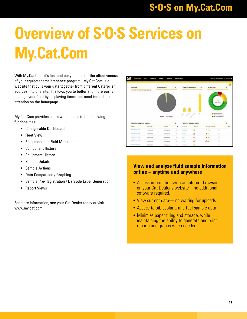## **S•O•S on My.Cat.Com**

# **Overview of S•O•S Services on My.Cat.Com**

With My.Cat.Com, it's fast and easy to monitor the effectiveness of your equipment maintenance program. My.Cat.Com is a website that pulls your data together from different Caterpillar sources into one site. It allows you to better and more easily manage your fleet by displaying items that need immediate attention on the homepage.

My.Cat.Com provides users with access to the following funtionalities:

- Configurable Dashboard
- Fleet View
- Equipment and Fluid Maintenance
- Component History
- Equipment History
- Sample Details
- Sample Actions
- Data Comparison / Graphing
- Sample Pre-Registration / Barcode Label Generation
- Report Views

For more information, see your Cat Dealer today or visit www.my.cat.com.

| <b>STATISTICS</b><br>WELCOME               |                 | <b>BANPLE STATUS</b>                  | ۰                         | SANPLES IN PROGRESS | ٠                                | ALERT LEVILS                |                                                                                          | ۰      |
|--------------------------------------------|-----------------|---------------------------------------|---------------------------|---------------------|----------------------------------|-----------------------------|------------------------------------------------------------------------------------------|--------|
| Saackages-Fri, Docume, F., 2019, 69-91-30. |                 |                                       |                           |                     |                                  |                             |                                                                                          | m      |
|                                            |                 |                                       |                           |                     |                                  |                             | $10+$<br><b>SIDE AGAIN</b>                                                               |        |
|                                            |                 | <b>III</b> for <b>III</b> is flexible |                           |                     | ÷                                |                             | <b>IS</b> Arrest Fatesment<br><b>Munica Composition</b><br><b>B</b> Its in rise forgoint |        |
| <b><i>MICENTLY SUBMITTED SAMPLES</i></b>   | Leased          | tiens -                               | ۴<br>$\ddot{\phantom{a}}$ | ASMT SL             | RECENTLY SAMPLED ASSETS<br>MALTH | <b>MEALTH-MELTICARY</b>     |                                                                                          | ۴<br>۰ |
| Lidition.<br><b>RED-RENO COD</b>           | 10242016        | in Private in                         | -<br>実                    | <b>STATISTICS</b>   | 玉                                | $\mathcal{F} = \mathcal{F}$ | $\overline{\phantom{a}}$                                                                 | n      |
| $B(2-4)$ (1) $1$                           | <b>Girl</b> ane | a Provinci                            | ×                         | <b>House Take</b>   | Δ                                | 五田上                         |                                                                                          |        |
| la la facto del militar                    | stabilizative   | Jr. Prigness                          | $\ddot{}$                 | $=$                 | Δ                                | A.A.A.                      | ×                                                                                        |        |
| ALTX-RESERVED.                             | SM 50/2016      | in Fragmen                            | $\overline{1}$            | <b>Yo six</b>       | Δ                                | $\Delta\Delta$              |                                                                                          |        |

#### **View and analyze fluid sample information online – anytime and anywhere**

- Access information with an internet browser on your Cat Dealer's website – no additional software required.
- View current data— no waiting for uploads
- Access to oil, coolant, and fuel sample data
- Minimize paper filing and storage, while maintaining the ability to generate and print reports and graphs when needed.